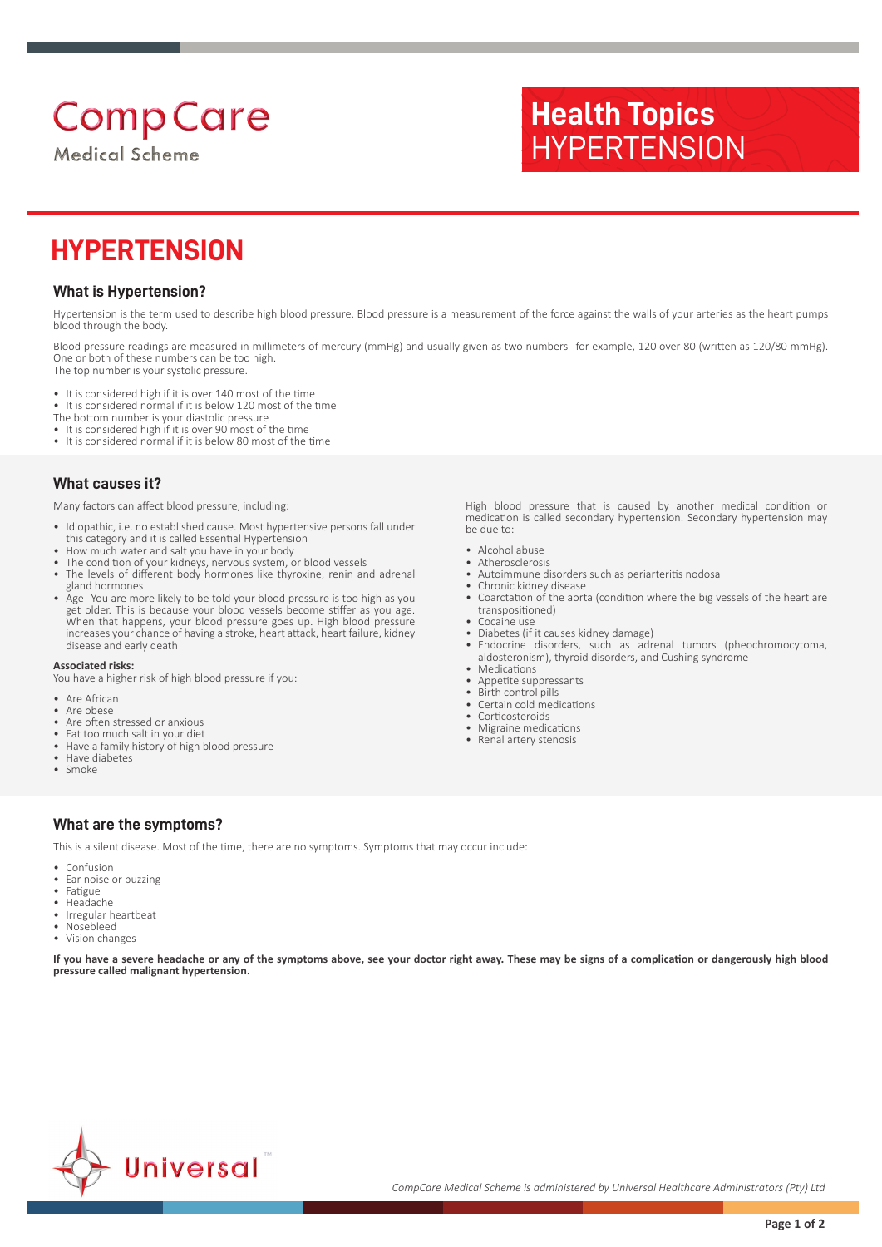# **Comp Care**

**Medical Scheme** 

## **Health Topics HYPERTENSION**

### **HYPERTENSION**

### **What is Hypertension?**

Hypertension is the term used to describe high blood pressure. Blood pressure is a measurement of the force against the walls of your arteries as the heart pumps blood through the body.

Blood pressure readings are measured in millimeters of mercury (mmHg) and usually given as two numbers - for example, 120 over 80 (written as 120/80 mmHg). One or both of these numbers can be too high. The top number is your systolic pressure.

- It is considered high if it is over 140 most of the time
- It is considered normal if it is below 120 most of the time
- The bottom number is your diastolic pressure
- It is considered high if it is over 90 most of the time
- It is considered normal if it is below 80 most of the time

#### **What causes it?**

Many factors can affect blood pressure, including:

- Idiopathic, i.e. no established cause. Most hypertensive persons fall under this category and it is called Essential Hypertension
- How much water and salt you have in your body
- The condition of your kidneys, nervous system, or blood vessels
- The levels of different body hormones like thyroxine, renin and adrenal gland hormones
- Age- You are more likely to be told your blood pressure is too high as you get older. This is because your blood vessels become stiffer as you age. When that happens, your blood pressure goes up. High blood pressure increases your chance of having a stroke, heart attack, heart failure, kidney disease and early death

#### **Associated risks:**

You have a higher risk of high blood pressure if you:

- Are African
- Are obese<br>• Are often
- Are often stressed or anxious
- Eat too much salt in your diet
- Have a family history of high blood pressure • Have diabetes
- Smoke

High blood pressure that is caused by another medical condition or medication is called secondary hypertension. Secondary hypertension may be due to:

- Alcohol abuse
- **Atherosclerosis** • Autoimmune disorders such as periarteritis nodosa
- Chronic kidney disease
- Coarctation of the aorta (condition where the big vessels of the heart are transpositioned)
- Cocaine use
- Diabetes (if it causes kidney damage)
- Endocrine disorders, such as adrenal tumors (pheochromocytoma, aldosteronism), thyroid disorders, and Cushing syndrome
- **Medications**
- Appetite suppressants<br>• Birth control pills
- Birth control pills<br>• Certain cold med • Certain cold medications
- **Corticosteroids**
- Migraine medications
- Renal artery stenosis

#### **What are the symptoms?**

This is a silent disease. Most of the time, there are no symptoms. Symptoms that may occur include:

- **Confusion**
- Ear noise or buzzing
- Fatigue
- Headache<br>• Irregular h • Irregular heartbeat
- Nosebleed
- Vision changes

**If you have a severe headache or any of the symptoms above, see your doctor right away. These may be signs of a complication or dangerously high blood pressure called malignant hypertension.**